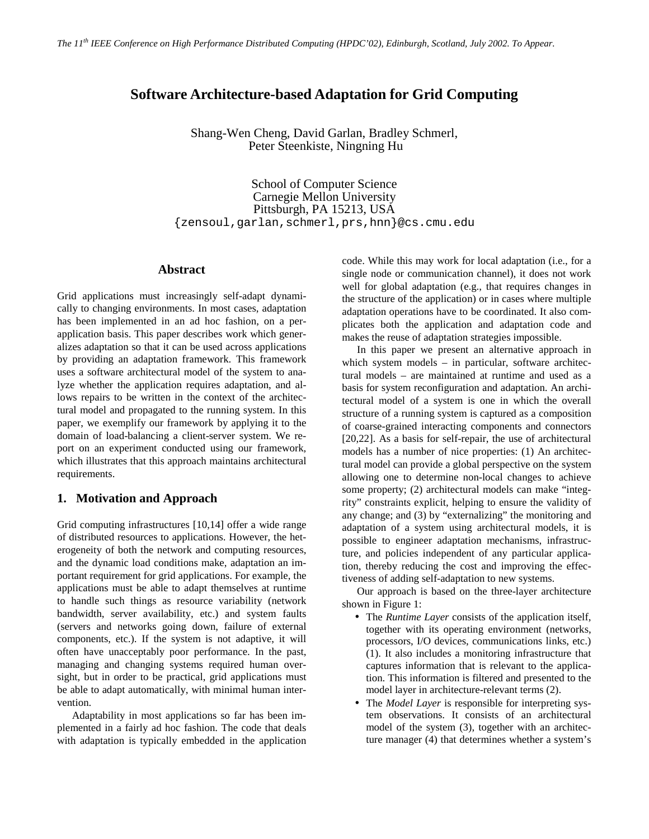# **Software Architecture-based Adaptation for Grid Computing**

Shang-Wen Cheng, David Garlan, Bradley Schmerl, Peter Steenkiste, Ningning Hu

School of Computer Science Carnegie Mellon University Pittsburgh, PA 15213, USA {zensoul,garlan,schmerl,prs,hnn}@cs.cmu.edu

### **Abstract**

Grid applications must increasingly self-adapt dynamically to changing environments. In most cases, adaptation has been implemented in an ad hoc fashion, on a perapplication basis. This paper describes work which generalizes adaptation so that it can be used across applications by providing an adaptation framework. This framework uses a software architectural model of the system to analyze whether the application requires adaptation, and allows repairs to be written in the context of the architectural model and propagated to the running system. In this paper, we exemplify our framework by applying it to the domain of load-balancing a client-server system. We report on an experiment conducted using our framework, which illustrates that this approach maintains architectural requirements.

#### **1. Motivation and Approach**

Grid computing infrastructures [10,14] offer a wide range of distributed resources to applications. However, the heterogeneity of both the network and computing resources, and the dynamic load conditions make, adaptation an important requirement for grid applications. For example, the applications must be able to adapt themselves at runtime to handle such things as resource variability (network bandwidth, server availability, etc.) and system faults (servers and networks going down, failure of external components, etc.). If the system is not adaptive, it will often have unacceptably poor performance. In the past, managing and changing systems required human oversight, but in order to be practical, grid applications must be able to adapt automatically, with minimal human intervention.

Adaptability in most applications so far has been implemented in a fairly ad hoc fashion. The code that deals with adaptation is typically embedded in the application code. While this may work for local adaptation (i.e., for a single node or communication channel), it does not work well for global adaptation (e.g., that requires changes in the structure of the application) or in cases where multiple adaptation operations have to be coordinated. It also complicates both the application and adaptation code and makes the reuse of adaptation strategies impossible.

In this paper we present an alternative approach in which system models – in particular, software architectural models – are maintained at runtime and used as a basis for system reconfiguration and adaptation. An architectural model of a system is one in which the overall structure of a running system is captured as a composition of coarse-grained interacting components and connectors [20,22]. As a basis for self-repair, the use of architectural models has a number of nice properties: (1) An architectural model can provide a global perspective on the system allowing one to determine non-local changes to achieve some property; (2) architectural models can make "integrity" constraints explicit, helping to ensure the validity of any change; and (3) by "externalizing" the monitoring and adaptation of a system using architectural models, it is possible to engineer adaptation mechanisms, infrastructure, and policies independent of any particular application, thereby reducing the cost and improving the effectiveness of adding self-adaptation to new systems.

Our approach is based on the three-layer architecture shown in Figure 1:

- The *Runtime Layer* consists of the application itself, together with its operating environment (networks, processors, I/O devices, communications links, etc.) (1). It also includes a monitoring infrastructure that captures information that is relevant to the application. This information is filtered and presented to the model layer in architecture-relevant terms (2).
- The *Model Layer* is responsible for interpreting system observations. It consists of an architectural model of the system (3), together with an architecture manager (4) that determines whether a system's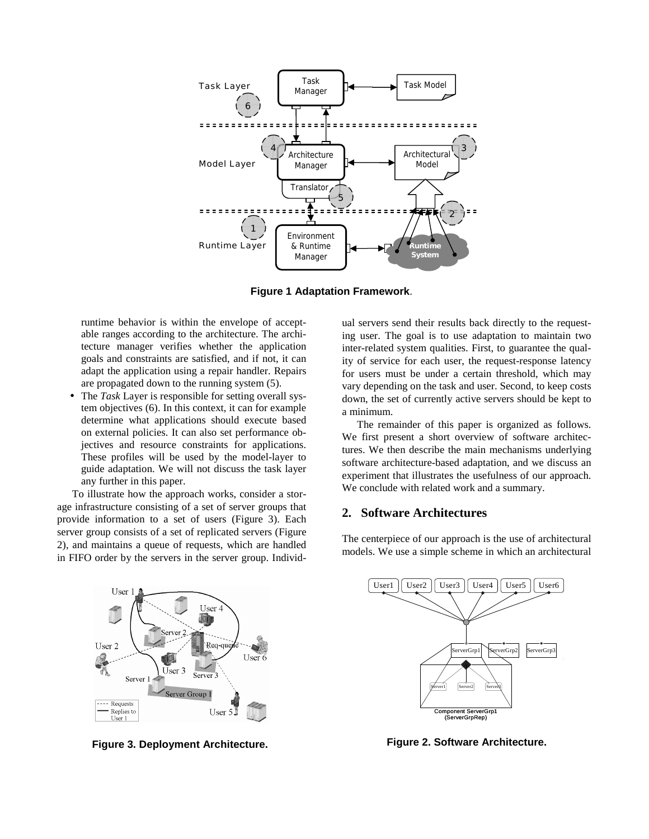

**Figure 1 Adaptation Framework**.

runtime behavior is within the envelope of acceptable ranges according to the architecture. The architecture manager verifies whether the application goals and constraints are satisfied, and if not, it can adapt the application using a repair handler. Repairs are propagated down to the running system (5).

• The *Task* Layer is responsible for setting overall system objectives (6). In this context, it can for example determine what applications should execute based on external policies. It can also set performance objectives and resource constraints for applications. These profiles will be used by the model-layer to guide adaptation. We will not discuss the task layer any further in this paper.

To illustrate how the approach works, consider a storage infrastructure consisting of a set of server groups that provide information to a set of users (Figure 3). Each server group consists of a set of replicated servers (Figure 2), and maintains a queue of requests, which are handled in FIFO order by the servers in the server group. Individual servers send their results back directly to the requesting user. The goal is to use adaptation to maintain two inter-related system qualities. First, to guarantee the quality of service for each user, the request-response latency for users must be under a certain threshold, which may vary depending on the task and user. Second, to keep costs down, the set of currently active servers should be kept to a minimum.

The remainder of this paper is organized as follows. We first present a short overview of software architectures. We then describe the main mechanisms underlying software architecture-based adaptation, and we discuss an experiment that illustrates the usefulness of our approach. We conclude with related work and a summary.

# **2. Software Architectures**

The centerpiece of our approach is the use of architectural models. We use a simple scheme in which an architectural



**Figure 3. Deployment Architecture.**



**Figure 2. Software Architecture.**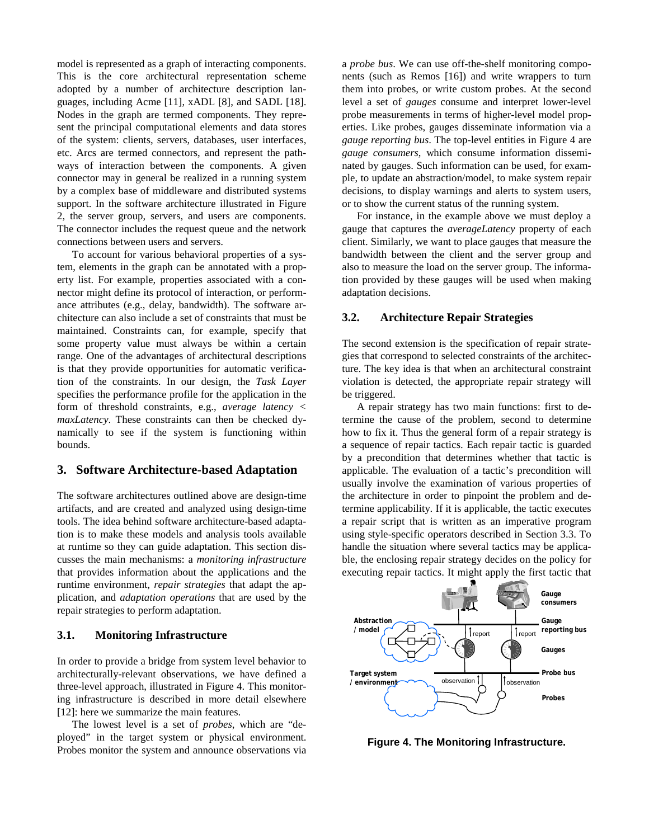model is represented as a graph of interacting components. This is the core architectural representation scheme adopted by a number of architecture description languages, including Acme [11], xADL [8], and SADL [18]. Nodes in the graph are termed components. They represent the principal computational elements and data stores of the system: clients, servers, databases, user interfaces, etc. Arcs are termed connectors, and represent the pathways of interaction between the components. A given connector may in general be realized in a running system by a complex base of middleware and distributed systems support. In the software architecture illustrated in Figure 2, the server group, servers, and users are components. The connector includes the request queue and the network connections between users and servers.

To account for various behavioral properties of a system, elements in the graph can be annotated with a property list. For example, properties associated with a connector might define its protocol of interaction, or performance attributes (e.g., delay, bandwidth). The software architecture can also include a set of constraints that must be maintained. Constraints can, for example, specify that some property value must always be within a certain range. One of the advantages of architectural descriptions is that they provide opportunities for automatic verification of the constraints. In our design, the *Task Layer* specifies the performance profile for the application in the form of threshold constraints, e.g., *average latency < maxLatency*. These constraints can then be checked dynamically to see if the system is functioning within bounds.

### **3. Software Architecture-based Adaptation**

The software architectures outlined above are design-time artifacts, and are created and analyzed using design-time tools. The idea behind software architecture-based adaptation is to make these models and analysis tools available at runtime so they can guide adaptation. This section discusses the main mechanisms: a *monitoring infrastructure* that provides information about the applications and the runtime environment, *repair strategies* that adapt the application, and *adaptation operations* that are used by the repair strategies to perform adaptation.

#### **3.1. Monitoring Infrastructure**

In order to provide a bridge from system level behavior to architecturally-relevant observations, we have defined a three-level approach, illustrated in Figure 4. This monitoring infrastructure is described in more detail elsewhere [12]: here we summarize the main features.

The lowest level is a set of *probes*, which are "deployed" in the target system or physical environment. Probes monitor the system and announce observations via a *probe bus*. We can use off-the-shelf monitoring components (such as Remos [16]) and write wrappers to turn them into probes, or write custom probes. At the second level a set of *gauges* consume and interpret lower-level probe measurements in terms of higher-level model properties. Like probes, gauges disseminate information via a *gauge reporting bus*. The top-level entities in Figure 4 are *gauge consumers*, which consume information disseminated by gauges. Such information can be used, for example, to update an abstraction/model, to make system repair decisions, to display warnings and alerts to system users, or to show the current status of the running system.

For instance, in the example above we must deploy a gauge that captures the *averageLatency* property of each client. Similarly, we want to place gauges that measure the bandwidth between the client and the server group and also to measure the load on the server group. The information provided by these gauges will be used when making adaptation decisions.

#### **3.2. Architecture Repair Strategies**

The second extension is the specification of repair strategies that correspond to selected constraints of the architecture. The key idea is that when an architectural constraint violation is detected, the appropriate repair strategy will be triggered.

A repair strategy has two main functions: first to determine the cause of the problem, second to determine how to fix it. Thus the general form of a repair strategy is a sequence of repair tactics. Each repair tactic is guarded by a precondition that determines whether that tactic is applicable. The evaluation of a tactic's precondition will usually involve the examination of various properties of the architecture in order to pinpoint the problem and determine applicability. If it is applicable, the tactic executes a repair script that is written as an imperative program using style-specific operators described in Section 3.3. To handle the situation where several tactics may be applicable, the enclosing repair strategy decides on the policy for executing repair tactics. It might apply the first tactic that



**Figure 4. The Monitoring Infrastructure.**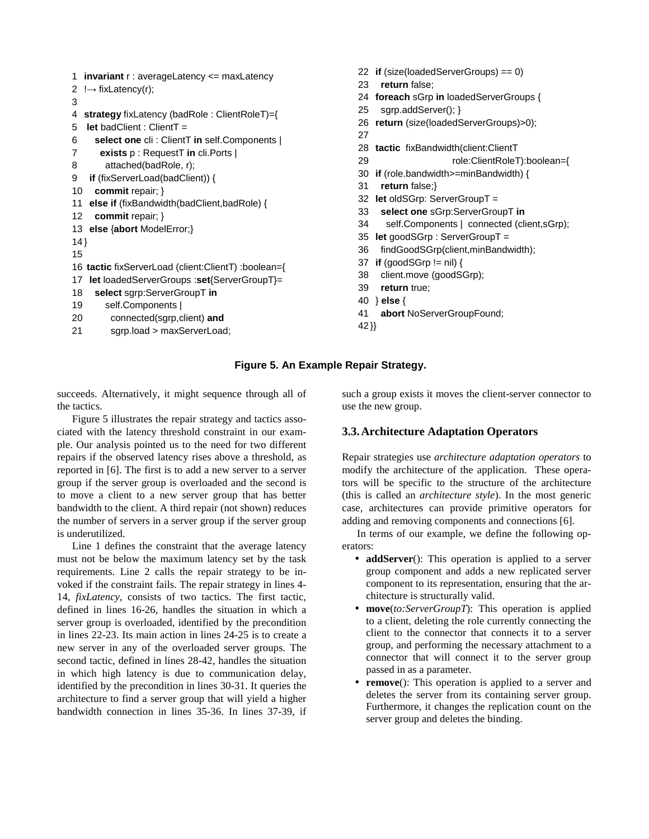```
1 invariant r : averageLatency <= maxLatency
2 ! \rightarrow fixLatency(r);
3
4 strategy fixLatency (badRole : ClientRoleT)={
5 let badClient : ClientT =
6 select one cli : ClientT in self.Components |
7 exists p : RequestT in cli.Ports |
8 attached(badRole, r);
9 if (fixServerLoad(badClient)) {
10 commit repair; }
11 else if (fixBandwidth(badClient,badRole) {
12 commit repair; }
13 else {abort ModelError;}
1415
16 tactic fixServerLoad (client:ClientT) :boolean={
17 let loadedServerGroups :set{ServerGroupT}=
18 select sgrp:ServerGroupT in
19 self.Components |
20 connected(sgrp,client) and
```
21 sgrp.load > maxServerLoad;

- 22 **if** (size(loadedServerGroups) == 0)
- 23 **return** false;
- 24 **foreach** sGrp **in** loadedServerGroups {
- 25 sgrp.addServer(); }
- 26 **return** (size(loadedServerGroups)>0);
- 27
- 28 **tactic** fixBandwidth(client:ClientT
- 29 role:ClientRoleT):boolean={
- 30 **if** (role.bandwidth>=minBandwidth) {
- 31 **return** false;}
- 32 **let** oldSGrp: ServerGroupT =
- 33 **select one** sGrp:ServerGroupT **in**
- 34 self.Components | connected (client,sGrp);
- 35 **let** goodSGrp : ServerGroupT =
- 36 findGoodSGrp(client,minBandwidth);
- 37 **if** (goodSGrp != nil) {
- 38 client.move (goodSGrp);
- 39 **return** true;
- 40 } **else** {
- 41 **abort** NoServerGroupFound;
- 42 }}

## **Figure 5. An Example Repair Strategy.**

succeeds. Alternatively, it might sequence through all of the tactics.

Figure 5 illustrates the repair strategy and tactics associated with the latency threshold constraint in our example. Our analysis pointed us to the need for two different repairs if the observed latency rises above a threshold, as reported in [6]. The first is to add a new server to a server group if the server group is overloaded and the second is to move a client to a new server group that has better bandwidth to the client. A third repair (not shown) reduces the number of servers in a server group if the server group is underutilized.

Line 1 defines the constraint that the average latency must not be below the maximum latency set by the task requirements. Line 2 calls the repair strategy to be invoked if the constraint fails. The repair strategy in lines 4- 14, *fixLatency*, consists of two tactics. The first tactic, defined in lines 16-26, handles the situation in which a server group is overloaded, identified by the precondition in lines 22-23. Its main action in lines 24-25 is to create a new server in any of the overloaded server groups. The second tactic, defined in lines 28-42, handles the situation in which high latency is due to communication delay, identified by the precondition in lines 30-31. It queries the architecture to find a server group that will yield a higher bandwidth connection in lines 35-36. In lines 37-39, if such a group exists it moves the client-server connector to use the new group.

## **3.3. Architecture Adaptation Operators**

Repair strategies use *architecture adaptation operators* to modify the architecture of the application. These operators will be specific to the structure of the architecture (this is called an *architecture style*). In the most generic case, architectures can provide primitive operators for adding and removing components and connections [6].

In terms of our example, we define the following operators:

- **addServer**(): This operation is applied to a server group component and adds a new replicated server component to its representation, ensuring that the architecture is structurally valid.
- **move**(*to:ServerGroupT*): This operation is applied to a client, deleting the role currently connecting the client to the connector that connects it to a server group, and performing the necessary attachment to a connector that will connect it to the server group passed in as a parameter.
- **remove**(): This operation is applied to a server and deletes the server from its containing server group. Furthermore, it changes the replication count on the server group and deletes the binding.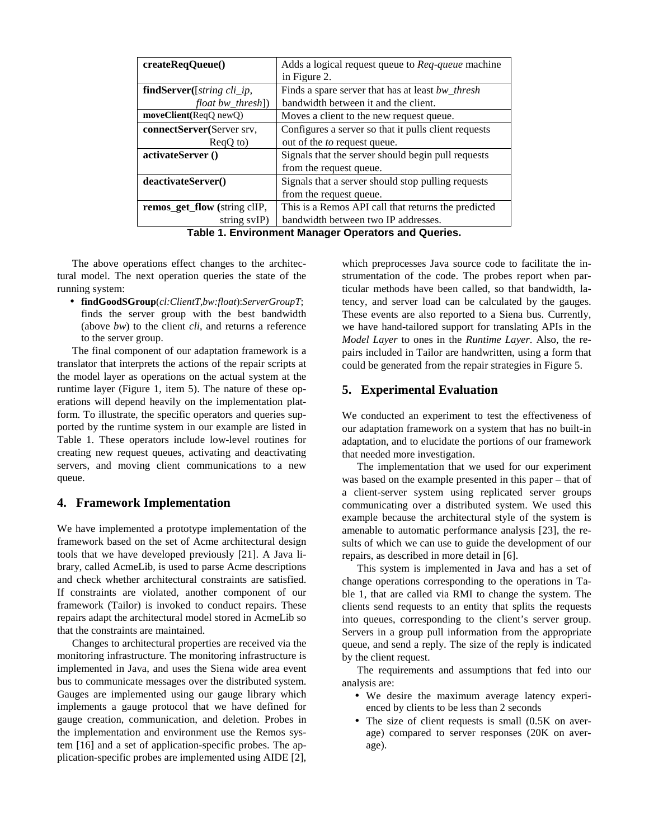| createReqQueue()             | Adds a logical request queue to Req-queue machine<br>in Figure 2. |
|------------------------------|-------------------------------------------------------------------|
| findServer([string cli_ip,   | Finds a spare server that has at least bw_thresh                  |
| $float bw_thresh]$           | bandwidth between it and the client.                              |
| moveClient(ReqQ newQ)        | Moves a client to the new request queue.                          |
| connectServer(Server srv,    | Configures a server so that it pulls client requests              |
| ReqQ to)                     | out of the <i>to</i> request queue.                               |
| activateServer()             | Signals that the server should begin pull requests                |
|                              | from the request queue.                                           |
| deactivateServer()           | Signals that a server should stop pulling requests                |
|                              | from the request queue.                                           |
| remos_get_flow (string clIP, | This is a Remos API call that returns the predicted               |
| string svIP)                 | bandwidth between two IP addresses.                               |

**Table 1. Environment Manager Operators and Queries.**

The above operations effect changes to the architectural model. The next operation queries the state of the running system:

• **findGoodSGroup**(*cl:ClientT,bw:float*):*ServerGroupT*; finds the server group with the best bandwidth (above *bw*) to the client *cli*, and returns a reference to the server group.

The final component of our adaptation framework is a translator that interprets the actions of the repair scripts at the model layer as operations on the actual system at the runtime layer (Figure 1, item 5). The nature of these operations will depend heavily on the implementation platform. To illustrate, the specific operators and queries supported by the runtime system in our example are listed in Table 1. These operators include low-level routines for creating new request queues, activating and deactivating servers, and moving client communications to a new queue.

# **4. Framework Implementation**

We have implemented a prototype implementation of the framework based on the set of Acme architectural design tools that we have developed previously [21]. A Java library, called AcmeLib, is used to parse Acme descriptions and check whether architectural constraints are satisfied. If constraints are violated, another component of our framework (Tailor) is invoked to conduct repairs. These repairs adapt the architectural model stored in AcmeLib so that the constraints are maintained.

Changes to architectural properties are received via the monitoring infrastructure. The monitoring infrastructure is implemented in Java, and uses the Siena wide area event bus to communicate messages over the distributed system. Gauges are implemented using our gauge library which implements a gauge protocol that we have defined for gauge creation, communication, and deletion. Probes in the implementation and environment use the Remos system [16] and a set of application-specific probes. The application-specific probes are implemented using AIDE [2],

which preprocesses Java source code to facilitate the instrumentation of the code. The probes report when particular methods have been called, so that bandwidth, latency, and server load can be calculated by the gauges. These events are also reported to a Siena bus. Currently, we have hand-tailored support for translating APIs in the *Model Layer* to ones in the *Runtime Layer*. Also, the repairs included in Tailor are handwritten, using a form that could be generated from the repair strategies in Figure 5.

# **5. Experimental Evaluation**

We conducted an experiment to test the effectiveness of our adaptation framework on a system that has no built-in adaptation, and to elucidate the portions of our framework that needed more investigation.

The implementation that we used for our experiment was based on the example presented in this paper – that of a client-server system using replicated server groups communicating over a distributed system. We used this example because the architectural style of the system is amenable to automatic performance analysis [23], the results of which we can use to guide the development of our repairs, as described in more detail in [6].

This system is implemented in Java and has a set of change operations corresponding to the operations in Table 1, that are called via RMI to change the system. The clients send requests to an entity that splits the requests into queues, corresponding to the client's server group. Servers in a group pull information from the appropriate queue, and send a reply. The size of the reply is indicated by the client request.

The requirements and assumptions that fed into our analysis are:

- We desire the maximum average latency experienced by clients to be less than 2 seconds
- The size of client requests is small (0.5K on average) compared to server responses (20K on average).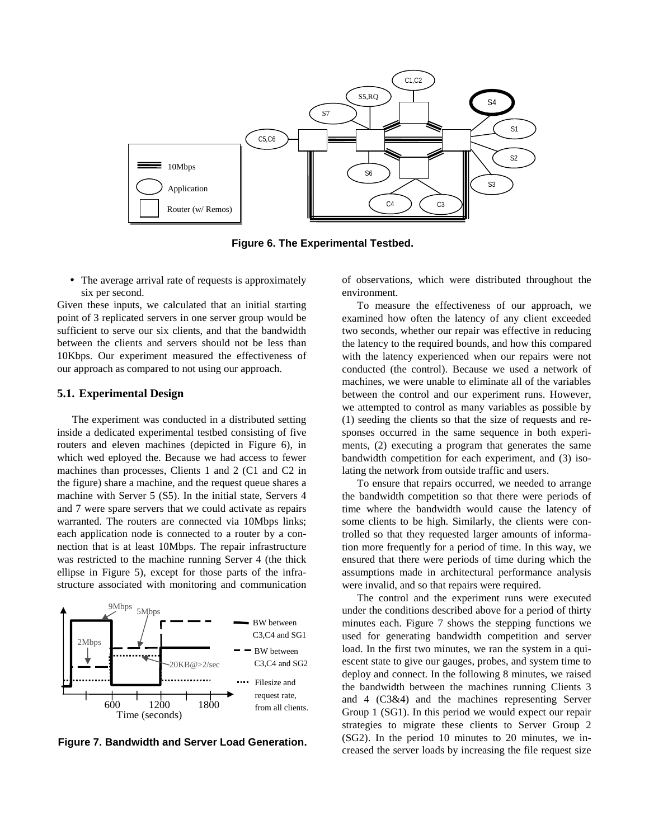

**Figure 6. The Experimental Testbed.**

• The average arrival rate of requests is approximately six per second.

Given these inputs, we calculated that an initial starting point of 3 replicated servers in one server group would be sufficient to serve our six clients, and that the bandwidth between the clients and servers should not be less than 10Kbps. Our experiment measured the effectiveness of our approach as compared to not using our approach.

#### **5.1. Experimental Design**

The experiment was conducted in a distributed setting inside a dedicated experimental testbed consisting of five routers and eleven machines (depicted in Figure 6), in which wed eployed the. Because we had access to fewer machines than processes, Clients 1 and 2 (C1 and C2 in the figure) share a machine, and the request queue shares a machine with Server 5 (S5). In the initial state, Servers 4 and 7 were spare servers that we could activate as repairs warranted. The routers are connected via 10Mbps links; each application node is connected to a router by a connection that is at least 10Mbps. The repair infrastructure was restricted to the machine running Server 4 (the thick ellipse in Figure 5), except for those parts of the infrastructure associated with monitoring and communication



**Figure 7. Bandwidth and Server Load Generation.**

of observations, which were distributed throughout the environment.

To measure the effectiveness of our approach, we examined how often the latency of any client exceeded two seconds, whether our repair was effective in reducing the latency to the required bounds, and how this compared with the latency experienced when our repairs were not conducted (the control). Because we used a network of machines, we were unable to eliminate all of the variables between the control and our experiment runs. However, we attempted to control as many variables as possible by (1) seeding the clients so that the size of requests and responses occurred in the same sequence in both experiments, (2) executing a program that generates the same bandwidth competition for each experiment, and (3) isolating the network from outside traffic and users.

To ensure that repairs occurred, we needed to arrange the bandwidth competition so that there were periods of time where the bandwidth would cause the latency of some clients to be high. Similarly, the clients were controlled so that they requested larger amounts of information more frequently for a period of time. In this way, we ensured that there were periods of time during which the assumptions made in architectural performance analysis were invalid, and so that repairs were required.

The control and the experiment runs were executed under the conditions described above for a period of thirty minutes each. Figure 7 shows the stepping functions we used for generating bandwidth competition and server load. In the first two minutes, we ran the system in a quiescent state to give our gauges, probes, and system time to deploy and connect. In the following 8 minutes, we raised the bandwidth between the machines running Clients 3 and 4 (C3&4) and the machines representing Server Group 1 (SG1). In this period we would expect our repair strategies to migrate these clients to Server Group 2 (SG2). In the period 10 minutes to 20 minutes, we increased the server loads by increasing the file request size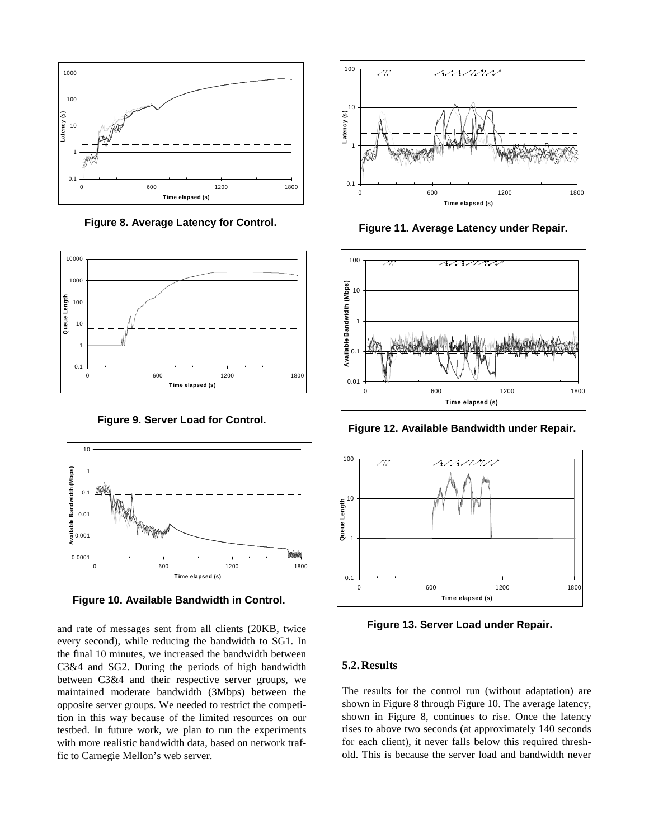

**Figure 8. Average Latency for Control.**



**Figure 9. Server Load for Control.**



**Figure 10. Available Bandwidth in Control.**

and rate of messages sent from all clients (20KB, twice every second), while reducing the bandwidth to SG1. In the final 10 minutes, we increased the bandwidth between C3&4 and SG2. During the periods of high bandwidth between C3&4 and their respective server groups, we maintained moderate bandwidth (3Mbps) between the opposite server groups. We needed to restrict the competition in this way because of the limited resources on our testbed. In future work, we plan to run the experiments with more realistic bandwidth data, based on network traffic to Carnegie Mellon's web server.



**Figure 11. Average Latency under Repair.**



**Figure 12. Available Bandwidth under Repair.**



**Figure 13. Server Load under Repair.**

# **5.2. Results**

The results for the control run (without adaptation) are shown in Figure 8 through Figure 10. The average latency, shown in Figure 8, continues to rise. Once the latency rises to above two seconds (at approximately 140 seconds for each client), it never falls below this required threshold. This is because the server load and bandwidth never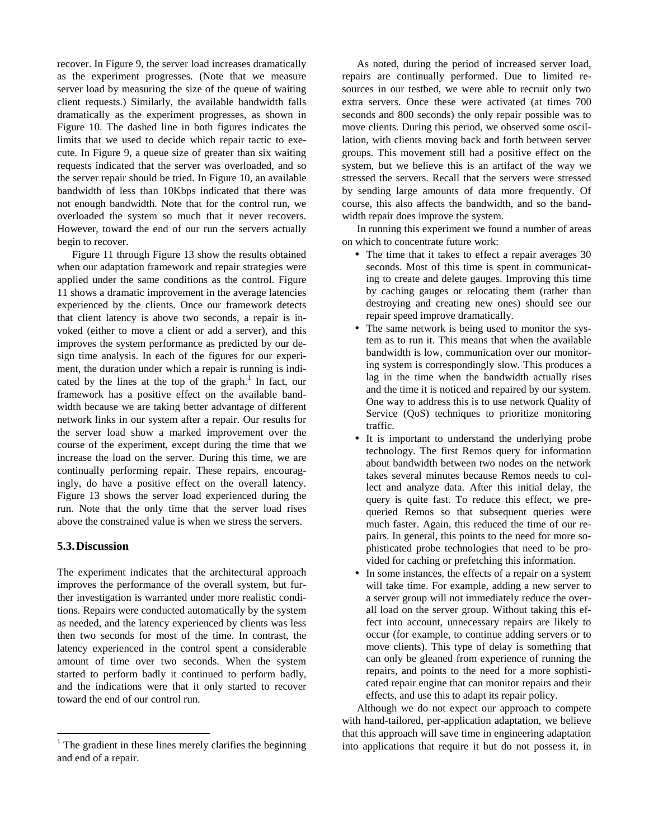recover. In Figure 9, the server load increases dramatically as the experiment progresses. (Note that we measure server load by measuring the size of the queue of waiting client requests.) Similarly, the available bandwidth falls dramatically as the experiment progresses, as shown in Figure 10. The dashed line in both figures indicates the limits that we used to decide which repair tactic to execute. In Figure 9, a queue size of greater than six waiting requests indicated that the server was overloaded, and so the server repair should be tried. In Figure 10, an available bandwidth of less than 10Kbps indicated that there was not enough bandwidth. Note that for the control run, we overloaded the system so much that it never recovers. However, toward the end of our run the servers actually begin to recover.

Figure 11 through Figure 13 show the results obtained when our adaptation framework and repair strategies were applied under the same conditions as the control. Figure 11 shows a dramatic improvement in the average latencies experienced by the clients. Once our framework detects that client latency is above two seconds, a repair is invoked (either to move a client or add a server), and this improves the system performance as predicted by our design time analysis. In each of the figures for our experiment, the duration under which a repair is running is indicated by the lines at the top of the graph.<sup>1</sup> In fact, our framework has a positive effect on the available bandwidth because we are taking better advantage of different network links in our system after a repair. Our results for the server load show a marked improvement over the course of the experiment, except during the time that we increase the load on the server. During this time, we are continually performing repair. These repairs, encouragingly, do have a positive effect on the overall latency. Figure 13 shows the server load experienced during the run. Note that the only time that the server load rises above the constrained value is when we stress the servers.

#### **5.3. Discussion**

The experiment indicates that the architectural approach improves the performance of the overall system, but further investigation is warranted under more realistic conditions. Repairs were conducted automatically by the system as needed, and the latency experienced by clients was less then two seconds for most of the time. In contrast, the latency experienced in the control spent a considerable amount of time over two seconds. When the system started to perform badly it continued to perform badly, and the indications were that it only started to recover toward the end of our control run.

As noted, during the period of increased server load, repairs are continually performed. Due to limited resources in our testbed, we were able to recruit only two extra servers. Once these were activated (at times 700 seconds and 800 seconds) the only repair possible was to move clients. During this period, we observed some oscillation, with clients moving back and forth between server groups. This movement still had a positive effect on the system, but we believe this is an artifact of the way we stressed the servers. Recall that the servers were stressed by sending large amounts of data more frequently. Of course, this also affects the bandwidth, and so the bandwidth repair does improve the system.

In running this experiment we found a number of areas on which to concentrate future work:

- The time that it takes to effect a repair averages 30 seconds. Most of this time is spent in communicating to create and delete gauges. Improving this time by caching gauges or relocating them (rather than destroying and creating new ones) should see our repair speed improve dramatically.
- The same network is being used to monitor the system as to run it. This means that when the available bandwidth is low, communication over our monitoring system is correspondingly slow. This produces a lag in the time when the bandwidth actually rises and the time it is noticed and repaired by our system. One way to address this is to use network Quality of Service (QoS) techniques to prioritize monitoring traffic.
- It is important to understand the underlying probe technology. The first Remos query for information about bandwidth between two nodes on the network takes several minutes because Remos needs to collect and analyze data. After this initial delay, the query is quite fast. To reduce this effect, we prequeried Remos so that subsequent queries were much faster. Again, this reduced the time of our repairs. In general, this points to the need for more sophisticated probe technologies that need to be provided for caching or prefetching this information.
- In some instances, the effects of a repair on a system will take time. For example, adding a new server to a server group will not immediately reduce the overall load on the server group. Without taking this effect into account, unnecessary repairs are likely to occur (for example, to continue adding servers or to move clients). This type of delay is something that can only be gleaned from experience of running the repairs, and points to the need for a more sophisticated repair engine that can monitor repairs and their effects, and use this to adapt its repair policy.

Although we do not expect our approach to compete with hand-tailored, per-application adaptation, we believe that this approach will save time in engineering adaptation into applications that require it but do not possess it, in

 $<sup>1</sup>$  The gradient in these lines merely clarifies the beginning</sup> and end of a repair.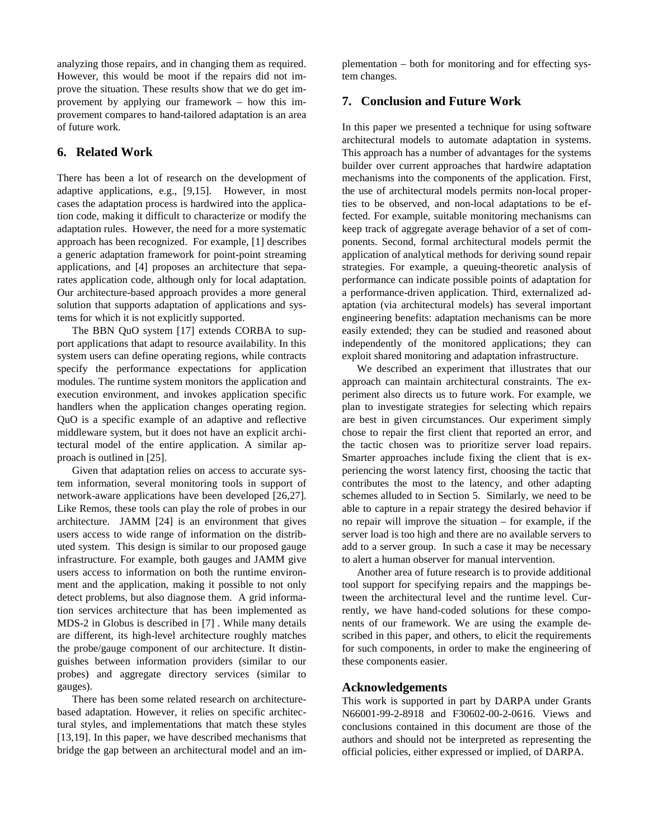analyzing those repairs, and in changing them as required. However, this would be moot if the repairs did not improve the situation. These results show that we do get improvement by applying our framework – how this improvement compares to hand-tailored adaptation is an area of future work.

# **6. Related Work**

There has been a lot of research on the development of adaptive applications, e.g., [9,15]. However, in most cases the adaptation process is hardwired into the application code, making it difficult to characterize or modify the adaptation rules. However, the need for a more systematic approach has been recognized. For example, [1] describes a generic adaptation framework for point-point streaming applications, and [4] proposes an architecture that separates application code, although only for local adaptation. Our architecture-based approach provides a more general solution that supports adaptation of applications and systems for which it is not explicitly supported.

The BBN QuO system [17] extends CORBA to support applications that adapt to resource availability. In this system users can define operating regions, while contracts specify the performance expectations for application modules. The runtime system monitors the application and execution environment, and invokes application specific handlers when the application changes operating region. QuO is a specific example of an adaptive and reflective middleware system, but it does not have an explicit architectural model of the entire application. A similar approach is outlined in [25].

Given that adaptation relies on access to accurate system information, several monitoring tools in support of network-aware applications have been developed [26,27]. Like Remos, these tools can play the role of probes in our architecture. JAMM [24] is an environment that gives users access to wide range of information on the distributed system. This design is similar to our proposed gauge infrastructure. For example, both gauges and JAMM give users access to information on both the runtime environment and the application, making it possible to not only detect problems, but also diagnose them. A grid information services architecture that has been implemented as MDS-2 in Globus is described in [7] . While many details are different, its high-level architecture roughly matches the probe/gauge component of our architecture. It distinguishes between information providers (similar to our probes) and aggregate directory services (similar to gauges).

There has been some related research on architecturebased adaptation. However, it relies on specific architectural styles, and implementations that match these styles [13,19]. In this paper, we have described mechanisms that bridge the gap between an architectural model and an implementation – both for monitoring and for effecting system changes.

# **7. Conclusion and Future Work**

In this paper we presented a technique for using software architectural models to automate adaptation in systems. This approach has a number of advantages for the systems builder over current approaches that hardwire adaptation mechanisms into the components of the application. First, the use of architectural models permits non-local properties to be observed, and non-local adaptations to be effected. For example, suitable monitoring mechanisms can keep track of aggregate average behavior of a set of components. Second, formal architectural models permit the application of analytical methods for deriving sound repair strategies. For example, a queuing-theoretic analysis of performance can indicate possible points of adaptation for a performance-driven application. Third, externalized adaptation (via architectural models) has several important engineering benefits: adaptation mechanisms can be more easily extended; they can be studied and reasoned about independently of the monitored applications; they can exploit shared monitoring and adaptation infrastructure.

We described an experiment that illustrates that our approach can maintain architectural constraints. The experiment also directs us to future work. For example, we plan to investigate strategies for selecting which repairs are best in given circumstances. Our experiment simply chose to repair the first client that reported an error, and the tactic chosen was to prioritize server load repairs. Smarter approaches include fixing the client that is experiencing the worst latency first, choosing the tactic that contributes the most to the latency, and other adapting schemes alluded to in Section 5. Similarly, we need to be able to capture in a repair strategy the desired behavior if no repair will improve the situation – for example, if the server load is too high and there are no available servers to add to a server group. In such a case it may be necessary to alert a human observer for manual intervention.

Another area of future research is to provide additional tool support for specifying repairs and the mappings between the architectural level and the runtime level. Currently, we have hand-coded solutions for these components of our framework. We are using the example described in this paper, and others, to elicit the requirements for such components, in order to make the engineering of these components easier.

### **Acknowledgements**

This work is supported in part by DARPA under Grants N66001-99-2-8918 and F30602-00-2-0616. Views and conclusions contained in this document are those of the authors and should not be interpreted as representing the official policies, either expressed or implied, of DARPA.